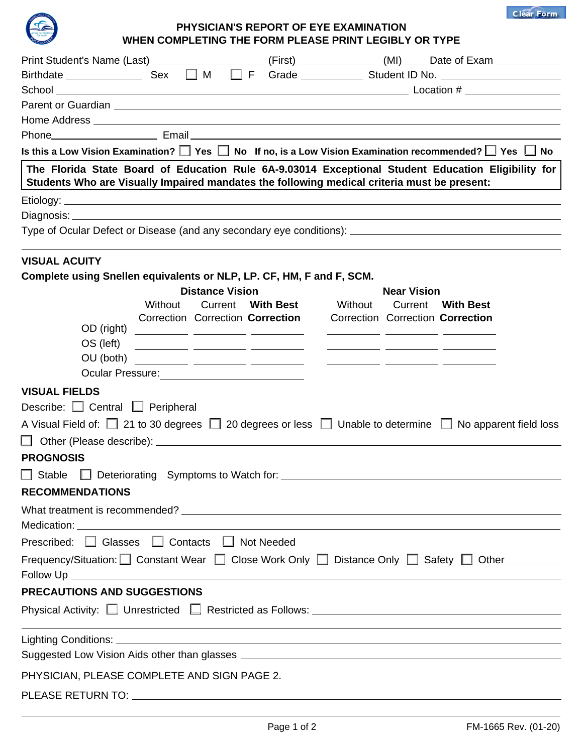**Clear Form**



## **PHYSICIAN'S REPORT OF EYE EXAMINATION WHEN COMPLETING THE FORM PLEASE PRINT LEGIBLY OR TYPE**

| Is this a Low Vision Examination? $\square$ Yes $\square$ No If no, is a Low Vision Examination recommended? $\square$ Yes $\square$ No<br>The Florida State Board of Education Rule 6A-9.03014 Exceptional Student Education Eligibility for |         |                        |  |  |                                                                   |                    |                                                                                                                                     |  |  |
|-----------------------------------------------------------------------------------------------------------------------------------------------------------------------------------------------------------------------------------------------|---------|------------------------|--|--|-------------------------------------------------------------------|--------------------|-------------------------------------------------------------------------------------------------------------------------------------|--|--|
| Students Who are Visually Impaired mandates the following medical criteria must be present:                                                                                                                                                   |         |                        |  |  |                                                                   |                    |                                                                                                                                     |  |  |
|                                                                                                                                                                                                                                               |         |                        |  |  |                                                                   |                    |                                                                                                                                     |  |  |
|                                                                                                                                                                                                                                               |         |                        |  |  |                                                                   |                    |                                                                                                                                     |  |  |
| Type of Ocular Defect or Disease (and any secondary eye conditions): [16] Type of Ocular Defect or Disease (and any secondary eye conditions):                                                                                                |         |                        |  |  |                                                                   |                    |                                                                                                                                     |  |  |
| <b>VISUAL ACUITY</b>                                                                                                                                                                                                                          |         |                        |  |  |                                                                   |                    |                                                                                                                                     |  |  |
| Complete using Snellen equivalents or NLP, LP. CF, HM, F and F, SCM.                                                                                                                                                                          |         |                        |  |  |                                                                   |                    |                                                                                                                                     |  |  |
|                                                                                                                                                                                                                                               | Without | <b>Distance Vision</b> |  |  | Current With Best Without                                         | <b>Near Vision</b> | Current With Best                                                                                                                   |  |  |
|                                                                                                                                                                                                                                               |         |                        |  |  | Correction Correction Correction Correction Correction Correction |                    |                                                                                                                                     |  |  |
| OD (right) ___________ ________ _________                                                                                                                                                                                                     |         |                        |  |  |                                                                   |                    |                                                                                                                                     |  |  |
| OS (left)                                                                                                                                                                                                                                     |         |                        |  |  |                                                                   |                    |                                                                                                                                     |  |  |
|                                                                                                                                                                                                                                               |         |                        |  |  |                                                                   |                    |                                                                                                                                     |  |  |
|                                                                                                                                                                                                                                               |         |                        |  |  |                                                                   |                    |                                                                                                                                     |  |  |
| <b>VISUAL FIELDS</b>                                                                                                                                                                                                                          |         |                        |  |  |                                                                   |                    |                                                                                                                                     |  |  |
| Describe: Central U Peripheral                                                                                                                                                                                                                |         |                        |  |  |                                                                   |                    |                                                                                                                                     |  |  |
| A Visual Field of: 21 to 30 degrees 20 degrees or less □ Unable to determine ■ No apparent field loss                                                                                                                                         |         |                        |  |  |                                                                   |                    |                                                                                                                                     |  |  |
|                                                                                                                                                                                                                                               |         |                        |  |  |                                                                   |                    |                                                                                                                                     |  |  |
| <b>PROGNOSIS</b>                                                                                                                                                                                                                              |         |                        |  |  |                                                                   |                    |                                                                                                                                     |  |  |
| $\Box$ Stable $\Box$ Deteriorating Symptoms to Watch for:                                                                                                                                                                                     |         |                        |  |  |                                                                   |                    |                                                                                                                                     |  |  |
| <b>RECOMMENDATIONS</b>                                                                                                                                                                                                                        |         |                        |  |  |                                                                   |                    |                                                                                                                                     |  |  |
|                                                                                                                                                                                                                                               |         |                        |  |  |                                                                   |                    |                                                                                                                                     |  |  |
|                                                                                                                                                                                                                                               |         |                        |  |  |                                                                   |                    |                                                                                                                                     |  |  |
| Prescribed: <b>□</b> Glasses □ Contacts □ Not Needed                                                                                                                                                                                          |         |                        |  |  |                                                                   |                    |                                                                                                                                     |  |  |
| Frequency/Situation: Constant Wear C Close Work Only C Distance Only C Safety C Other COL                                                                                                                                                     |         |                        |  |  |                                                                   |                    |                                                                                                                                     |  |  |
|                                                                                                                                                                                                                                               |         |                        |  |  |                                                                   |                    |                                                                                                                                     |  |  |
| <b>PRECAUTIONS AND SUGGESTIONS</b>                                                                                                                                                                                                            |         |                        |  |  |                                                                   |                    |                                                                                                                                     |  |  |
|                                                                                                                                                                                                                                               |         |                        |  |  |                                                                   |                    | Physical Activity: Unrestricted Restricted as Follows: University 2014 10:00 Physical Activity: Unrestricted Restricted as Follows: |  |  |
|                                                                                                                                                                                                                                               |         |                        |  |  |                                                                   |                    | <u> 1989 - Johann Stoff, deutscher Stoffen und der Stoffen und der Stoffen und der Stoffen und der Stoffen und de</u>               |  |  |
|                                                                                                                                                                                                                                               |         |                        |  |  |                                                                   |                    |                                                                                                                                     |  |  |
| PHYSICIAN, PLEASE COMPLETE AND SIGN PAGE 2.                                                                                                                                                                                                   |         |                        |  |  |                                                                   |                    |                                                                                                                                     |  |  |
|                                                                                                                                                                                                                                               |         |                        |  |  |                                                                   |                    |                                                                                                                                     |  |  |